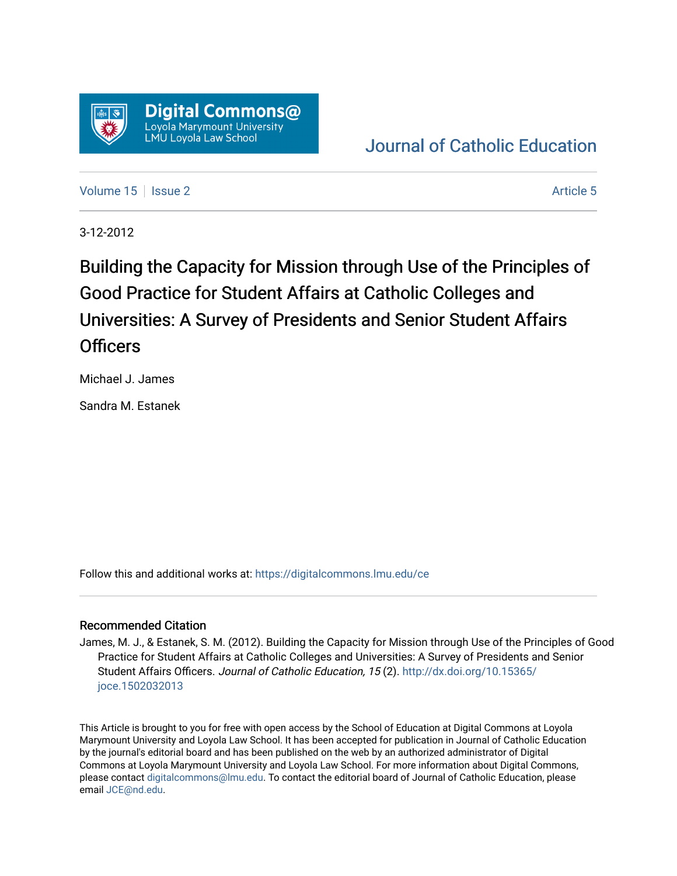

# [Journal of Catholic Education](https://digitalcommons.lmu.edu/ce)

[Volume 15](https://digitalcommons.lmu.edu/ce/vol15) Setsue 2 [Article 5](https://digitalcommons.lmu.edu/ce/vol15/iss2/5) Article 5

3-12-2012

Building the Capacity for Mission through Use of the Principles of Good Practice for Student Affairs at Catholic Colleges and Universities: A Survey of Presidents and Senior Student Affairs **Officers** 

Michael J. James

Sandra M. Estanek

Follow this and additional works at: [https://digitalcommons.lmu.edu/ce](https://digitalcommons.lmu.edu/ce?utm_source=digitalcommons.lmu.edu%2Fce%2Fvol15%2Fiss2%2F5&utm_medium=PDF&utm_campaign=PDFCoverPages)

## Recommended Citation

James, M. J., & Estanek, S. M. (2012). Building the Capacity for Mission through Use of the Principles of Good Practice for Student Affairs at Catholic Colleges and Universities: A Survey of Presidents and Senior Student Affairs Officers. Journal of Catholic Education, 15 (2). [http://dx.doi.org/10.15365/](http://dx.doi.org/10.15365/joce.1502032013) [joce.1502032013](http://dx.doi.org/10.15365/joce.1502032013) 

This Article is brought to you for free with open access by the School of Education at Digital Commons at Loyola Marymount University and Loyola Law School. It has been accepted for publication in Journal of Catholic Education by the journal's editorial board and has been published on the web by an authorized administrator of Digital Commons at Loyola Marymount University and Loyola Law School. For more information about Digital Commons, please contact [digitalcommons@lmu.edu](mailto:digitalcommons@lmu.edu). To contact the editorial board of Journal of Catholic Education, please email [JCE@nd.edu](mailto:JCE@nd.edu).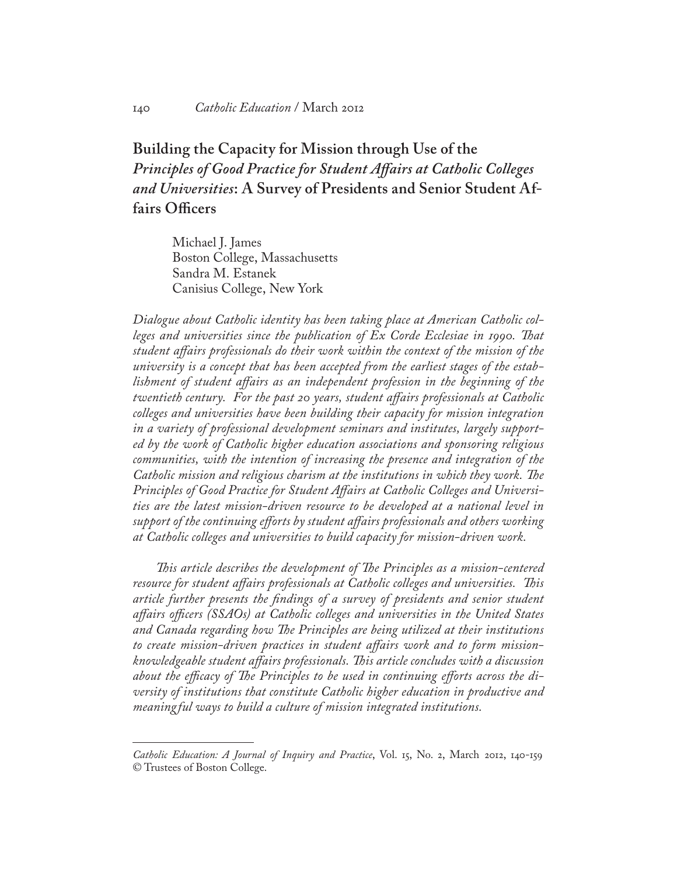# **Building the Capacity for Mission through Use of the**  *Principles of Good Practice for Student Affairs at Catholic Colleges and Universities***: A Survey of Presidents and Senior Student Affairs Officers**

Michael J. James Boston College, Massachusetts Sandra M. Estanek Canisius College, New York

*Dialogue about Catholic identity has been taking place at American Catholic colleges and universities since the publication of Ex Corde Ecclesiae in 1990. That student affairs professionals do their work within the context of the mission of the university is a concept that has been accepted from the earliest stages of the establishment of student affairs as an independent profession in the beginning of the twentieth century. For the past 20 years, student affairs professionals at Catholic colleges and universities have been building their capacity for mission integration in a variety of professional development seminars and institutes, largely supported by the work of Catholic higher education associations and sponsoring religious communities, with the intention of increasing the presence and integration of the Catholic mission and religious charism at the institutions in which they work. The Principles of Good Practice for Student Affairs at Catholic Colleges and Universities are the latest mission-driven resource to be developed at a national level in support of the continuing efforts by student affairs professionals and others working at Catholic colleges and universities to build capacity for mission-driven work.*

*This article describes the development of The Principles as a mission-centered resource for student affairs professionals at Catholic colleges and universities. This article further presents the findings of a survey of presidents and senior student affairs officers (SSAOs) at Catholic colleges and universities in the United States and Canada regarding how The Principles are being utilized at their institutions to create mission-driven practices in student affairs work and to form missionknowledgeable student affairs professionals. This article concludes with a discussion about the efficacy of The Principles to be used in continuing efforts across the diversity of institutions that constitute Catholic higher education in productive and meaningful ways to build a culture of mission integrated institutions.*

*Catholic Education: A Journal of Inquiry and Practice*, Vol. 15, No. 2, March 2012, 140-159 © Trustees of Boston College.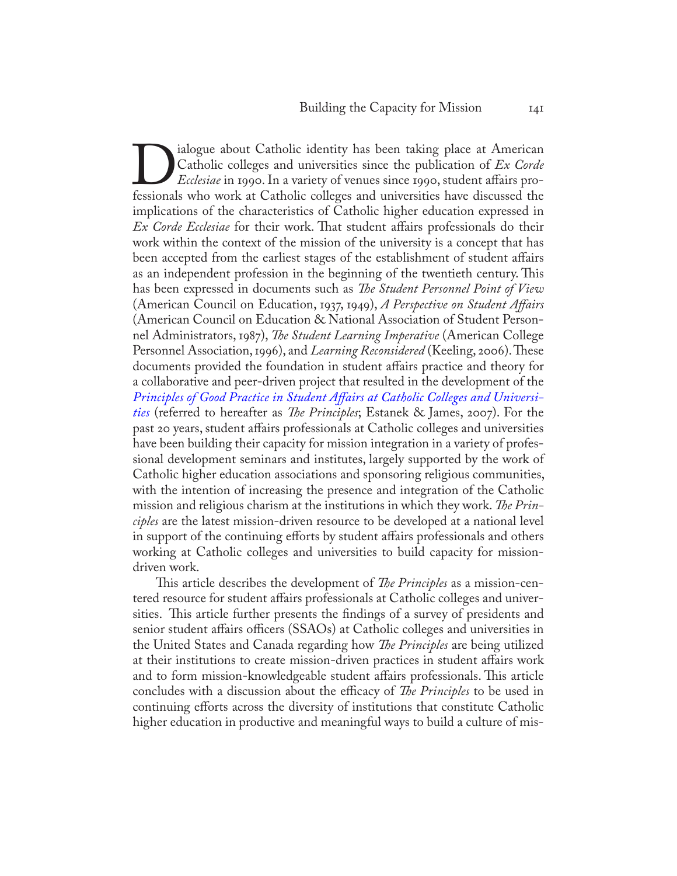Dialogue about Catholic identity has been taking place at American<br>Catholic colleges and universities since the publication of Ex Corde<br>Ecclesiae in 1990. In a variety of venues since 1990, student affairs pro-<br>fessionals Catholic colleges and universities since the publication of *Ex Corde Ecclesiae* in 1990. In a variety of venues since 1990, student affairs professionals who work at Catholic colleges and universities have discussed the implications of the characteristics of Catholic higher education expressed in *Ex Corde Ecclesiae* for their work. That student affairs professionals do their work within the context of the mission of the university is a concept that has been accepted from the earliest stages of the establishment of student affairs as an independent profession in the beginning of the twentieth century. This has been expressed in documents such as *The Student Personnel Point of View*  (American Council on Education, 1937, 1949), *A Perspective on Student Affairs* (American Council on Education & National Association of Student Personnel Administrators, 1987), *The Student Learning Imperative* (American College Personnel Association, 1996), and *Learning Reconsidered* (Keeling, 2006). These documents provided the foundation in student affairs practice and theory for a collaborative and peer-driven project that resulted in the development of the *[Principles of Good Practice in Student Affairs at Catholic Colleges and Universi](http://www.bc.edu/content/bc/schools/lsoe/cce/highered/research/jcr%3acontent/content/download/file.res/Principles%20of%20Good%20Practice%20in%20Student%20Affairs%20at%20Catholic%20Colleges%20and%20Universities.pdf)[ties](http://www.bc.edu/content/bc/schools/lsoe/cce/highered/research/jcr%3acontent/content/download/file.res/Principles%20of%20Good%20Practice%20in%20Student%20Affairs%20at%20Catholic%20Colleges%20and%20Universities.pdf)* (referred to hereafter as *The Principles*; Estanek & James, 2007). For the past 20 years, student affairs professionals at Catholic colleges and universities have been building their capacity for mission integration in a variety of professional development seminars and institutes, largely supported by the work of Catholic higher education associations and sponsoring religious communities, with the intention of increasing the presence and integration of the Catholic mission and religious charism at the institutions in which they work. *The Principles* are the latest mission-driven resource to be developed at a national level in support of the continuing efforts by student affairs professionals and others working at Catholic colleges and universities to build capacity for missiondriven work.

This article describes the development of *The Principles* as a mission-centered resource for student affairs professionals at Catholic colleges and universities. This article further presents the findings of a survey of presidents and senior student affairs officers (SSAOs) at Catholic colleges and universities in the United States and Canada regarding how *The Principles* are being utilized at their institutions to create mission-driven practices in student affairs work and to form mission-knowledgeable student affairs professionals. This article concludes with a discussion about the efficacy of *The Principles* to be used in continuing efforts across the diversity of institutions that constitute Catholic higher education in productive and meaningful ways to build a culture of mis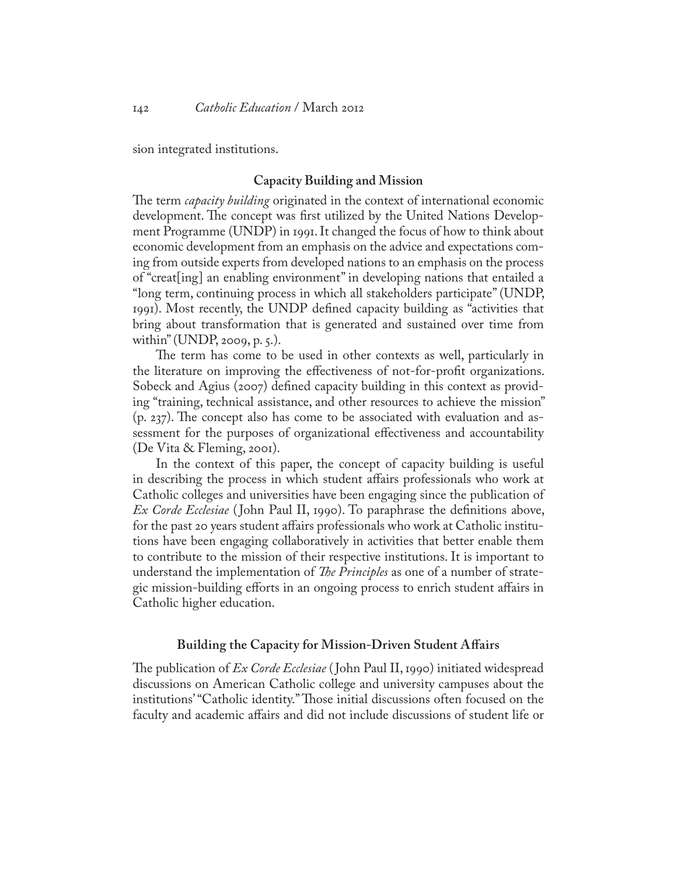sion integrated institutions.

#### **Capacity Building and Mission**

The term *capacity building* originated in the context of international economic development. The concept was first utilized by the United Nations Development Programme (UNDP) in 1991. It changed the focus of how to think about economic development from an emphasis on the advice and expectations coming from outside experts from developed nations to an emphasis on the process of "creat[ing] an enabling environment" in developing nations that entailed a "long term, continuing process in which all stakeholders participate" (UNDP, 1991). Most recently, the UNDP defined capacity building as "activities that bring about transformation that is generated and sustained over time from within" (UNDP, 2009, p. 5.).

The term has come to be used in other contexts as well, particularly in the literature on improving the effectiveness of not-for-profit organizations. Sobeck and Agius (2007) defined capacity building in this context as providing "training, technical assistance, and other resources to achieve the mission" (p. 237). The concept also has come to be associated with evaluation and assessment for the purposes of organizational effectiveness and accountability (De Vita & Fleming, 2001).

In the context of this paper, the concept of capacity building is useful in describing the process in which student affairs professionals who work at Catholic colleges and universities have been engaging since the publication of *Ex Corde Ecclesiae* ( John Paul II, 1990). To paraphrase the definitions above, for the past 20 years student affairs professionals who work at Catholic institutions have been engaging collaboratively in activities that better enable them to contribute to the mission of their respective institutions. It is important to understand the implementation of *The Principles* as one of a number of strategic mission-building efforts in an ongoing process to enrich student affairs in Catholic higher education.

#### **Building the Capacity for Mission-Driven Student Affairs**

The publication of *Ex Corde Ecclesiae* ( John Paul II, 1990) initiated widespread discussions on American Catholic college and university campuses about the institutions' "Catholic identity." Those initial discussions often focused on the faculty and academic affairs and did not include discussions of student life or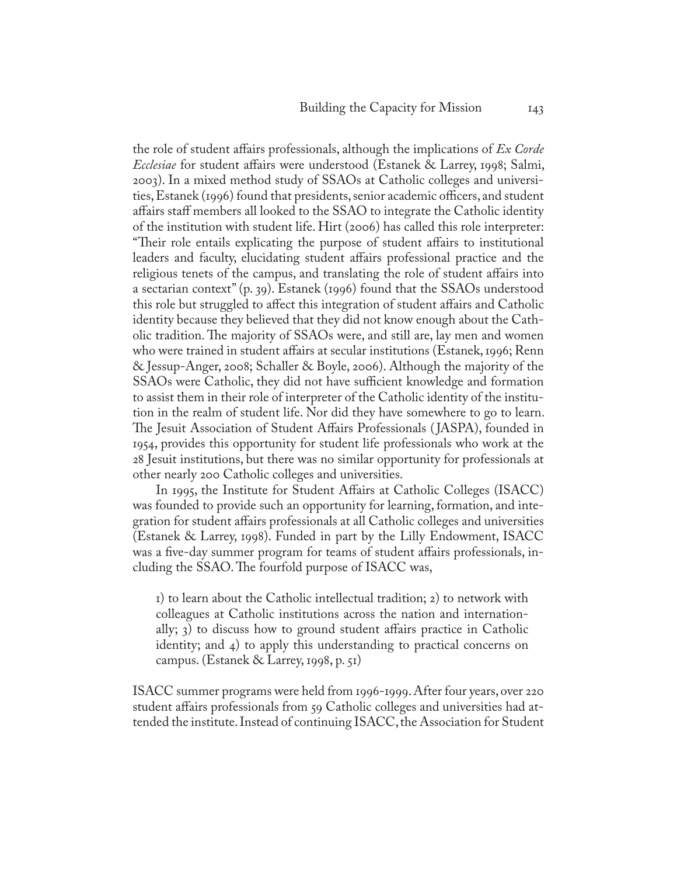the role of student affairs professionals, although the implications of *Ex Corde Ecclesiae* for student affairs were understood (Estanek & Larrey, 1998; Salmi, 2003). In a mixed method study of SSAOs at Catholic colleges and universities, Estanek (1996) found that presidents, senior academic officers, and student affairs staff members all looked to the SSAO to integrate the Catholic identity of the institution with student life. Hirt (2006) has called this role interpreter: "Their role entails explicating the purpose of student affairs to institutional leaders and faculty, elucidating student affairs professional practice and the religious tenets of the campus, and translating the role of student affairs into a sectarian context" (p. 39). Estanek (1996) found that the SSAOs understood this role but struggled to affect this integration of student affairs and Catholic identity because they believed that they did not know enough about the Catholic tradition. The majority of SSAOs were, and still are, lay men and women who were trained in student affairs at secular institutions (Estanek, 1996; Renn & Jessup-Anger, 2008; Schaller & Boyle, 2006). Although the majority of the SSAOs were Catholic, they did not have sufficient knowledge and formation to assist them in their role of interpreter of the Catholic identity of the institution in the realm of student life. Nor did they have somewhere to go to learn. The Jesuit Association of Student Affairs Professionals ( JASPA), founded in 1954, provides this opportunity for student life professionals who work at the 28 Jesuit institutions, but there was no similar opportunity for professionals at other nearly 200 Catholic colleges and universities.

In 1995, the Institute for Student Affairs at Catholic Colleges (ISACC) was founded to provide such an opportunity for learning, formation, and integration for student affairs professionals at all Catholic colleges and universities (Estanek & Larrey, 1998). Funded in part by the Lilly Endowment, ISACC was a five-day summer program for teams of student affairs professionals, including the SSAO. The fourfold purpose of ISACC was,

1) to learn about the Catholic intellectual tradition; 2) to network with colleagues at Catholic institutions across the nation and internationally; 3) to discuss how to ground student affairs practice in Catholic identity; and 4) to apply this understanding to practical concerns on campus. (Estanek & Larrey, 1998, p. 51)

ISACC summer programs were held from 1996-1999. After four years, over 220 student affairs professionals from 59 Catholic colleges and universities had attended the institute. Instead of continuing ISACC, the Association for Student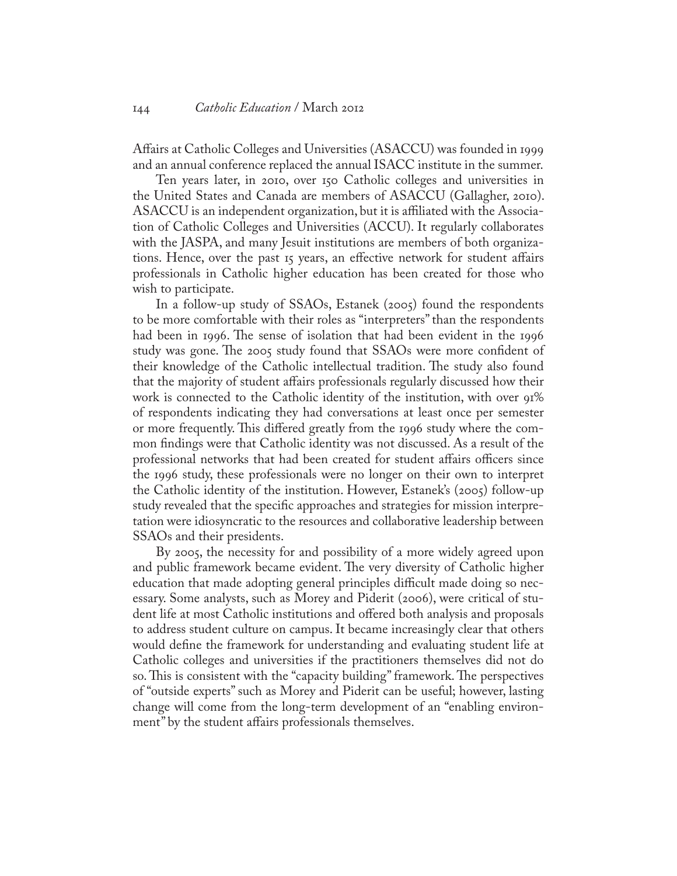Affairs at Catholic Colleges and Universities (ASACCU) was founded in 1999 and an annual conference replaced the annual ISACC institute in the summer.

Ten years later, in 2010, over 150 Catholic colleges and universities in the United States and Canada are members of ASACCU (Gallagher, 2010). ASACCU is an independent organization, but it is affiliated with the Association of Catholic Colleges and Universities (ACCU). It regularly collaborates with the JASPA, and many Jesuit institutions are members of both organizations. Hence, over the past 15 years, an effective network for student affairs professionals in Catholic higher education has been created for those who wish to participate.

In a follow-up study of SSAOs, Estanek (2005) found the respondents to be more comfortable with their roles as "interpreters" than the respondents had been in 1996. The sense of isolation that had been evident in the 1996 study was gone. The 2005 study found that SSAOs were more confident of their knowledge of the Catholic intellectual tradition. The study also found that the majority of student affairs professionals regularly discussed how their work is connected to the Catholic identity of the institution, with over 91% of respondents indicating they had conversations at least once per semester or more frequently. This differed greatly from the 1996 study where the common findings were that Catholic identity was not discussed. As a result of the professional networks that had been created for student affairs officers since the 1996 study, these professionals were no longer on their own to interpret the Catholic identity of the institution. However, Estanek's (2005) follow-up study revealed that the specific approaches and strategies for mission interpretation were idiosyncratic to the resources and collaborative leadership between SSAOs and their presidents.

By 2005, the necessity for and possibility of a more widely agreed upon and public framework became evident. The very diversity of Catholic higher education that made adopting general principles difficult made doing so necessary. Some analysts, such as Morey and Piderit (2006), were critical of student life at most Catholic institutions and offered both analysis and proposals to address student culture on campus. It became increasingly clear that others would define the framework for understanding and evaluating student life at Catholic colleges and universities if the practitioners themselves did not do so. This is consistent with the "capacity building" framework. The perspectives of "outside experts" such as Morey and Piderit can be useful; however, lasting change will come from the long-term development of an "enabling environment" by the student affairs professionals themselves.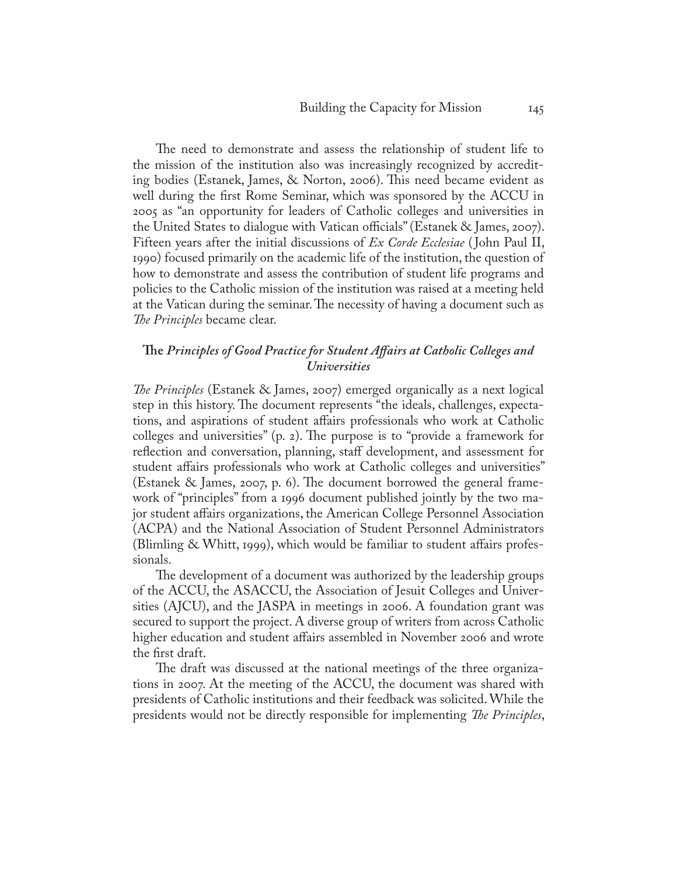The need to demonstrate and assess the relationship of student life to the mission of the institution also was increasingly recognized by accrediting bodies (Estanek, James, & Norton, 2006). This need became evident as well during the first Rome Seminar, which was sponsored by the ACCU in 2005 as "an opportunity for leaders of Catholic colleges and universities in the United States to dialogue with Vatican officials" (Estanek & James, 2007). Fifteen years after the initial discussions of *Ex Corde Ecclesiae* ( John Paul II, 1990) focused primarily on the academic life of the institution, the question of how to demonstrate and assess the contribution of student life programs and policies to the Catholic mission of the institution was raised at a meeting held at the Vatican during the seminar. The necessity of having a document such as *The Principles* became clear.

# **The** *Principles of Good Practice for Student Affairs at Catholic Colleges and Universities*

*The Principles* (Estanek & James, 2007) emerged organically as a next logical step in this history. The document represents "the ideals, challenges, expectations, and aspirations of student affairs professionals who work at Catholic colleges and universities" (p. 2). The purpose is to "provide a framework for reflection and conversation, planning, staff development, and assessment for student affairs professionals who work at Catholic colleges and universities" (Estanek & James, 2007, p. 6). The document borrowed the general framework of "principles" from a 1996 document published jointly by the two major student affairs organizations, the American College Personnel Association (ACPA) and the National Association of Student Personnel Administrators (Blimling & Whitt, 1999), which would be familiar to student affairs professionals.

The development of a document was authorized by the leadership groups of the ACCU, the ASACCU, the Association of Jesuit Colleges and Universities (AJCU), and the JASPA in meetings in 2006. A foundation grant was secured to support the project. A diverse group of writers from across Catholic higher education and student affairs assembled in November 2006 and wrote the first draft.

The draft was discussed at the national meetings of the three organizations in 2007. At the meeting of the ACCU, the document was shared with presidents of Catholic institutions and their feedback was solicited. While the presidents would not be directly responsible for implementing *The Principles*,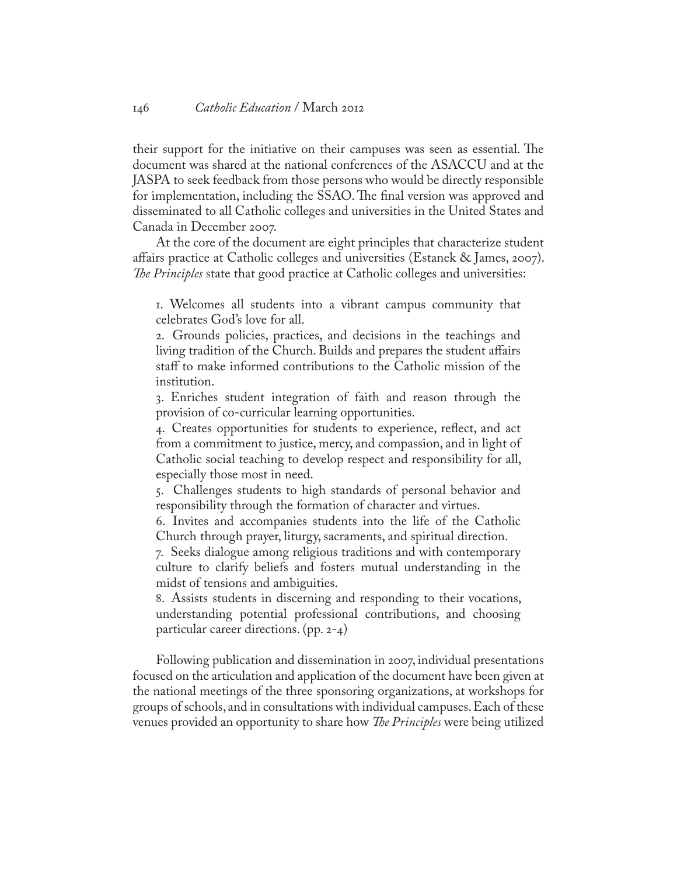their support for the initiative on their campuses was seen as essential. The document was shared at the national conferences of the ASACCU and at the JASPA to seek feedback from those persons who would be directly responsible for implementation, including the SSAO. The final version was approved and disseminated to all Catholic colleges and universities in the United States and Canada in December 2007.

At the core of the document are eight principles that characterize student affairs practice at Catholic colleges and universities (Estanek & James, 2007). *The Principles* state that good practice at Catholic colleges and universities:

1. Welcomes all students into a vibrant campus community that celebrates God's love for all.

2. Grounds policies, practices, and decisions in the teachings and living tradition of the Church. Builds and prepares the student affairs staff to make informed contributions to the Catholic mission of the institution.

3. Enriches student integration of faith and reason through the provision of co-curricular learning opportunities.

4. Creates opportunities for students to experience, reflect, and act from a commitment to justice, mercy, and compassion, and in light of Catholic social teaching to develop respect and responsibility for all, especially those most in need.

5. Challenges students to high standards of personal behavior and responsibility through the formation of character and virtues.

6. Invites and accompanies students into the life of the Catholic Church through prayer, liturgy, sacraments, and spiritual direction.

7. Seeks dialogue among religious traditions and with contemporary culture to clarify beliefs and fosters mutual understanding in the midst of tensions and ambiguities.

8. Assists students in discerning and responding to their vocations, understanding potential professional contributions, and choosing particular career directions. (pp. 2-4)

Following publication and dissemination in 2007, individual presentations focused on the articulation and application of the document have been given at the national meetings of the three sponsoring organizations, at workshops for groups of schools, and in consultations with individual campuses. Each of these venues provided an opportunity to share how *The Principles* were being utilized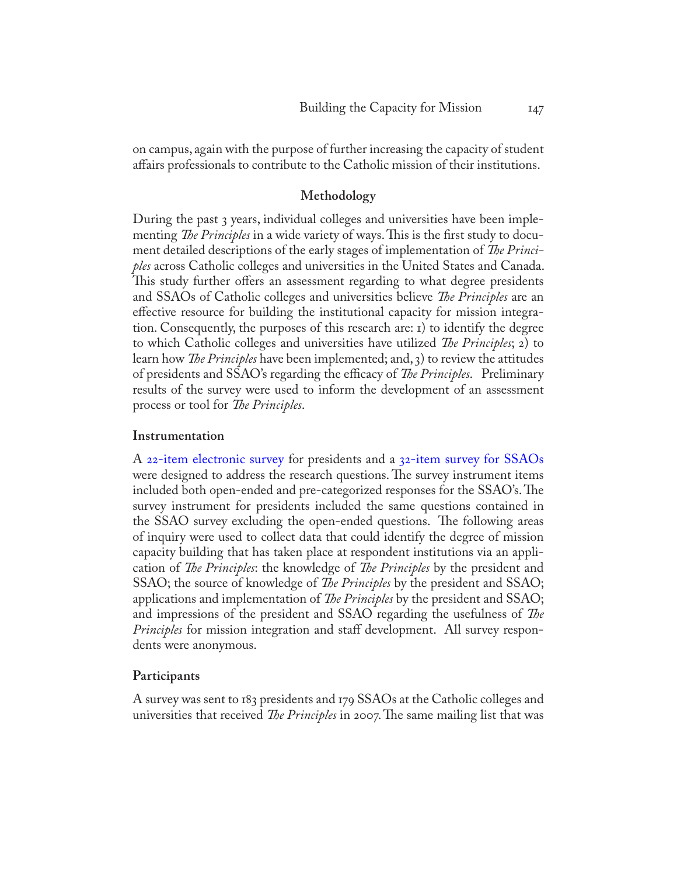on campus, again with the purpose of further increasing the capacity of student affairs professionals to contribute to the Catholic mission of their institutions.

# **Methodology**

During the past 3 years, individual colleges and universities have been implementing *The Principles* in a wide variety of ways. This is the first study to document detailed descriptions of the early stages of implementation of *The Principles* across Catholic colleges and universities in the United States and Canada. This study further offers an assessment regarding to what degree presidents and SSAOs of Catholic colleges and universities believe *The Principles* are an effective resource for building the institutional capacity for mission integration. Consequently, the purposes of this research are: 1) to identify the degree to which Catholic colleges and universities have utilized *The Principles*; 2) to learn how *The Principles* have been implemented; and, 3) to review the attitudes of presidents and SSAO's regarding the efficacy of *The Principles*. Preliminary results of the survey were used to inform the development of an assessment process or tool for *The Principles*.

#### **Instrumentation**

A [22-item electronic survey](http://www.bc.edu/content/bc/schools/lsoe/cce/highered/research/jcr%3acontent/content/download_1/file.res/Principles%20Survey%20-%20Presidents.pdf) for presidents and a [32-item survey for SSAOs](http://www.bc.edu/content/bc/schools/lsoe/cce/highered/research/jcr%3acontent/content/download_0/file.res/Principles%20SSAO%20Survey.pdf) were designed to address the research questions. The survey instrument items included both open-ended and pre-categorized responses for the SSAO's. The survey instrument for presidents included the same questions contained in the SSAO survey excluding the open-ended questions. The following areas of inquiry were used to collect data that could identify the degree of mission capacity building that has taken place at respondent institutions via an application of *The Principles*: the knowledge of *The Principles* by the president and SSAO; the source of knowledge of *The Principles* by the president and SSAO; applications and implementation of *The Principles* by the president and SSAO; and impressions of the president and SSAO regarding the usefulness of *The Principles* for mission integration and staff development. All survey respondents were anonymous.

#### **Participants**

A survey was sent to 183 presidents and 179 SSAOs at the Catholic colleges and universities that received *The Principles* in 2007. The same mailing list that was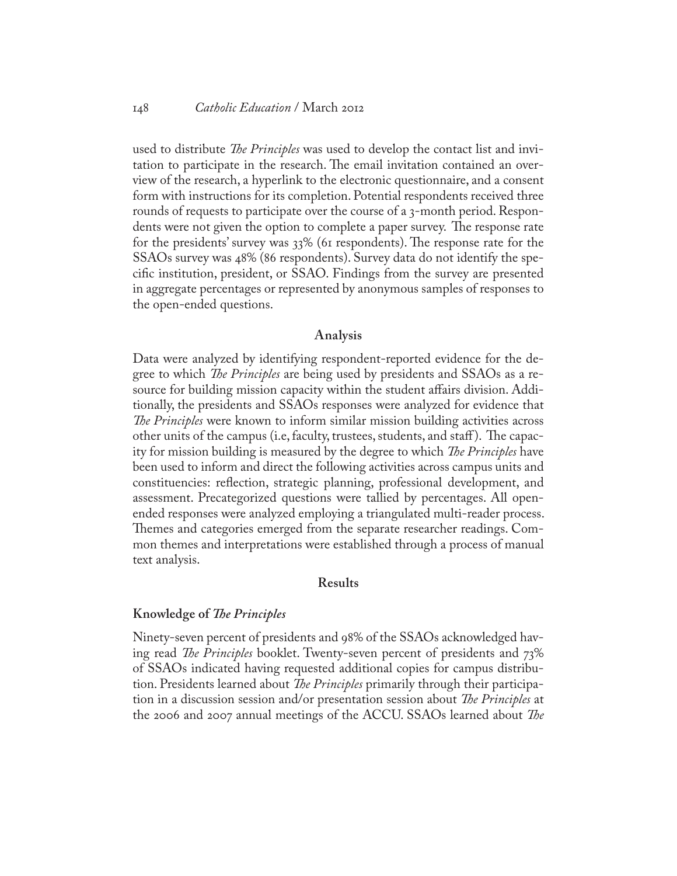used to distribute *The Principles* was used to develop the contact list and invitation to participate in the research. The email invitation contained an overview of the research, a hyperlink to the electronic questionnaire, and a consent form with instructions for its completion. Potential respondents received three rounds of requests to participate over the course of a 3-month period. Respondents were not given the option to complete a paper survey. The response rate for the presidents' survey was 33% (61 respondents). The response rate for the SSAOs survey was 48% (86 respondents). Survey data do not identify the specific institution, president, or SSAO. Findings from the survey are presented in aggregate percentages or represented by anonymous samples of responses to the open-ended questions.

#### **Analysis**

Data were analyzed by identifying respondent-reported evidence for the degree to which *The Principles* are being used by presidents and SSAOs as a resource for building mission capacity within the student affairs division. Additionally, the presidents and SSAOs responses were analyzed for evidence that *The Principles* were known to inform similar mission building activities across other units of the campus (i.e, faculty, trustees, students, and staff ). The capacity for mission building is measured by the degree to which *The Principles* have been used to inform and direct the following activities across campus units and constituencies: reflection, strategic planning, professional development, and assessment. Precategorized questions were tallied by percentages. All openended responses were analyzed employing a triangulated multi-reader process. Themes and categories emerged from the separate researcher readings. Common themes and interpretations were established through a process of manual text analysis.

## **Results**

#### **Knowledge of** *The Principles*

Ninety-seven percent of presidents and 98% of the SSAOs acknowledged having read *The Principles* booklet. Twenty-seven percent of presidents and 73% of SSAOs indicated having requested additional copies for campus distribution. Presidents learned about *The Principles* primarily through their participation in a discussion session and/or presentation session about *The Principles* at the 2006 and 2007 annual meetings of the ACCU. SSAOs learned about *The*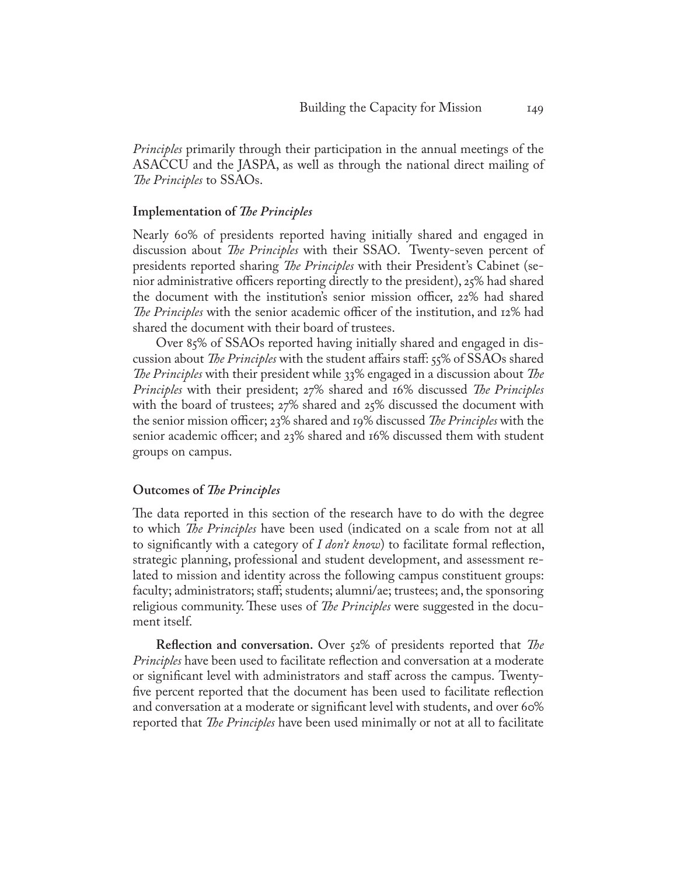*Principles* primarily through their participation in the annual meetings of the ASACCU and the JASPA, as well as through the national direct mailing of *The Principles* to SSAOs.

#### **Implementation of** *The Principles*

Nearly 60% of presidents reported having initially shared and engaged in discussion about *The Principles* with their SSAO. Twenty-seven percent of presidents reported sharing *The Principles* with their President's Cabinet (senior administrative officers reporting directly to the president), 25% had shared the document with the institution's senior mission officer, 22% had shared *The Principles* with the senior academic officer of the institution, and 12% had shared the document with their board of trustees.

Over 85% of SSAOs reported having initially shared and engaged in discussion about *The Principles* with the student affairs staff: 55% of SSAOs shared *The Principles* with their president while 33% engaged in a discussion about *The Principles* with their president; 27% shared and 16% discussed *The Principles* with the board of trustees; 27% shared and 25% discussed the document with the senior mission officer; 23% shared and 19% discussed *The Principles* with the senior academic officer; and 23% shared and 16% discussed them with student groups on campus.

#### **Outcomes of** *The Principles*

The data reported in this section of the research have to do with the degree to which *The Principles* have been used (indicated on a scale from not at all to significantly with a category of *I don't know*) to facilitate formal reflection, strategic planning, professional and student development, and assessment related to mission and identity across the following campus constituent groups: faculty; administrators; staff; students; alumni/ae; trustees; and, the sponsoring religious community. These uses of *The Principles* were suggested in the document itself.

**Reflection and conversation.** Over 52% of presidents reported that *The Principles* have been used to facilitate reflection and conversation at a moderate or significant level with administrators and staff across the campus. Twentyfive percent reported that the document has been used to facilitate reflection and conversation at a moderate or significant level with students, and over 60% reported that *The Principles* have been used minimally or not at all to facilitate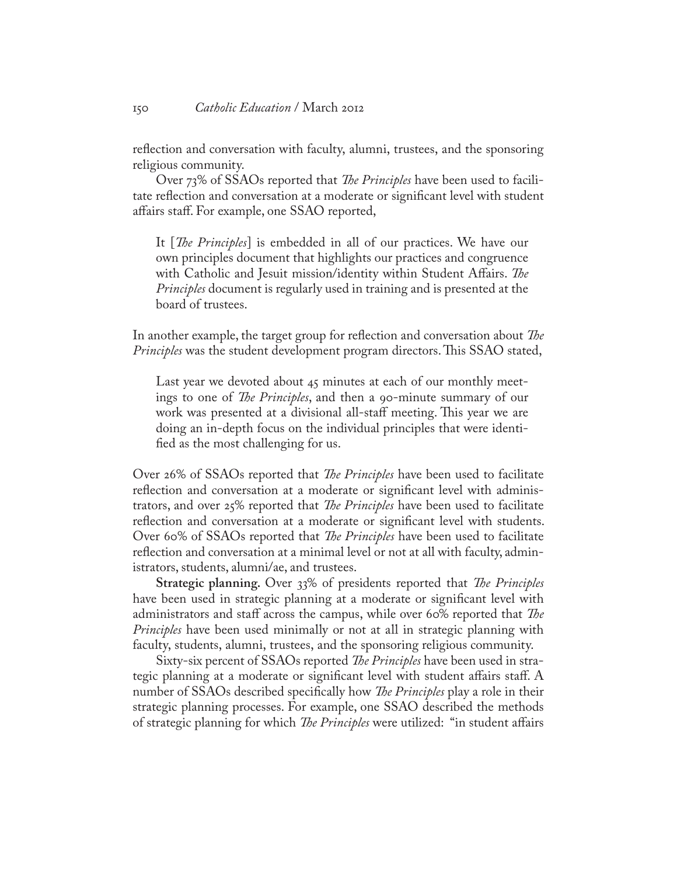reflection and conversation with faculty, alumni, trustees, and the sponsoring religious community.

Over 73% of SSAOs reported that *The Principles* have been used to facilitate reflection and conversation at a moderate or significant level with student affairs staff. For example, one SSAO reported,

It [*The Principles*] is embedded in all of our practices. We have our own principles document that highlights our practices and congruence with Catholic and Jesuit mission/identity within Student Affairs. *The Principles* document is regularly used in training and is presented at the board of trustees.

In another example, the target group for reflection and conversation about *The Principles* was the student development program directors. This SSAO stated,

Last year we devoted about 45 minutes at each of our monthly meetings to one of *The Principles*, and then a 90-minute summary of our work was presented at a divisional all-staff meeting. This year we are doing an in-depth focus on the individual principles that were identified as the most challenging for us.

Over 26% of SSAOs reported that *The Principles* have been used to facilitate reflection and conversation at a moderate or significant level with administrators, and over 25% reported that *The Principles* have been used to facilitate reflection and conversation at a moderate or significant level with students. Over 60% of SSAOs reported that *The Principles* have been used to facilitate reflection and conversation at a minimal level or not at all with faculty, administrators, students, alumni/ae, and trustees.

**Strategic planning.** Over 33% of presidents reported that *The Principles* have been used in strategic planning at a moderate or significant level with administrators and staff across the campus, while over 60% reported that *The Principles* have been used minimally or not at all in strategic planning with faculty, students, alumni, trustees, and the sponsoring religious community.

Sixty-six percent of SSAOs reported *The Principles* have been used in strategic planning at a moderate or significant level with student affairs staff. A number of SSAOs described specifically how *The Principles* play a role in their strategic planning processes. For example, one SSAO described the methods of strategic planning for which *The Principles* were utilized: "in student affairs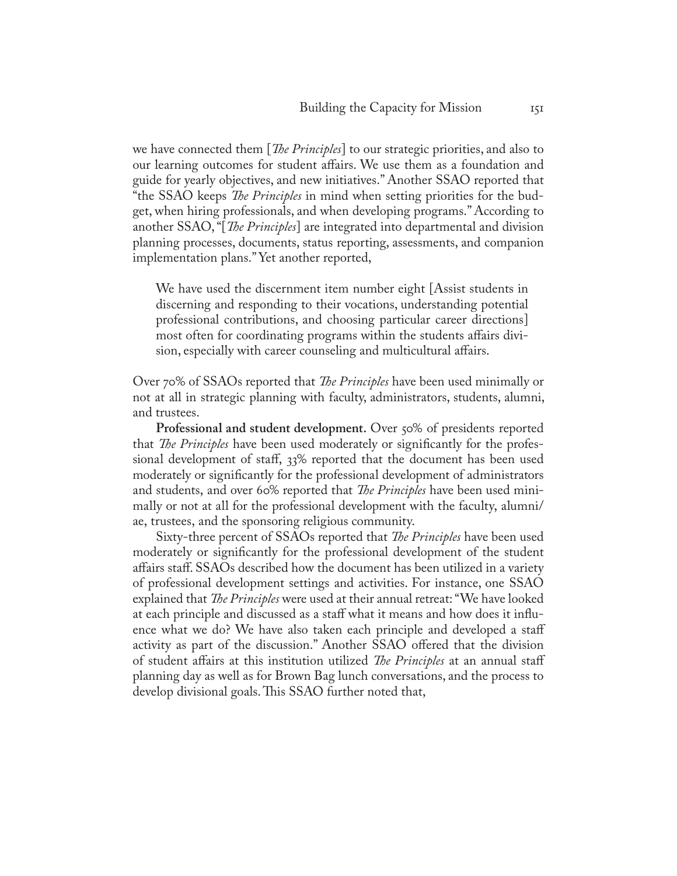we have connected them [*The Principles*] to our strategic priorities, and also to our learning outcomes for student affairs. We use them as a foundation and guide for yearly objectives, and new initiatives." Another SSAO reported that "the SSAO keeps *The Principles* in mind when setting priorities for the budget, when hiring professionals, and when developing programs." According to another SSAO, "[*The Principles*] are integrated into departmental and division planning processes, documents, status reporting, assessments, and companion implementation plans." Yet another reported,

We have used the discernment item number eight [Assist students in discerning and responding to their vocations, understanding potential professional contributions, and choosing particular career directions] most often for coordinating programs within the students affairs division, especially with career counseling and multicultural affairs.

Over 70% of SSAOs reported that *The Principles* have been used minimally or not at all in strategic planning with faculty, administrators, students, alumni, and trustees.

**Professional and student development.** Over 50% of presidents reported that *The Principles* have been used moderately or significantly for the professional development of staff, 33% reported that the document has been used moderately or significantly for the professional development of administrators and students, and over 60% reported that *The Principles* have been used minimally or not at all for the professional development with the faculty, alumni/ ae, trustees, and the sponsoring religious community.

Sixty-three percent of SSAOs reported that *The Principles* have been used moderately or significantly for the professional development of the student affairs staff. SSAOs described how the document has been utilized in a variety of professional development settings and activities. For instance, one SSAO explained that *The Principles* were used at their annual retreat: "We have looked at each principle and discussed as a staff what it means and how does it influence what we do? We have also taken each principle and developed a staff activity as part of the discussion." Another SSAO offered that the division of student affairs at this institution utilized *The Principles* at an annual staff planning day as well as for Brown Bag lunch conversations, and the process to develop divisional goals. This SSAO further noted that,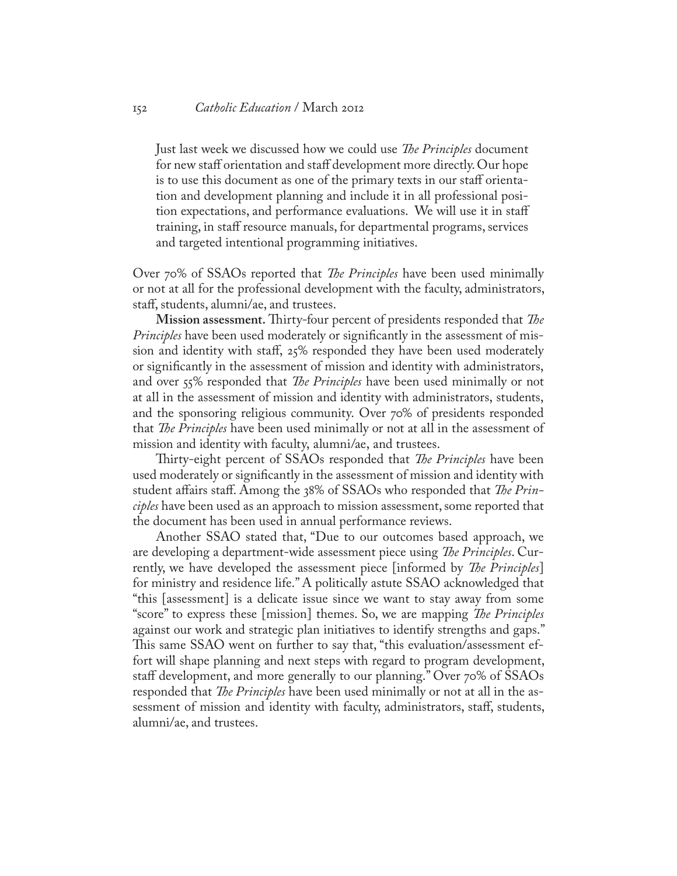Just last week we discussed how we could use *The Principles* document for new staff orientation and staff development more directly. Our hope is to use this document as one of the primary texts in our staff orientation and development planning and include it in all professional position expectations, and performance evaluations. We will use it in staff training, in staff resource manuals, for departmental programs, services and targeted intentional programming initiatives.

Over 70% of SSAOs reported that *The Principles* have been used minimally or not at all for the professional development with the faculty, administrators, staff, students, alumni/ae, and trustees.

**Mission assessment.** Thirty-four percent of presidents responded that *The Principles* have been used moderately or significantly in the assessment of mission and identity with staff, 25% responded they have been used moderately or significantly in the assessment of mission and identity with administrators, and over 55% responded that *The Principles* have been used minimally or not at all in the assessment of mission and identity with administrators, students, and the sponsoring religious community. Over 70% of presidents responded that *The Principles* have been used minimally or not at all in the assessment of mission and identity with faculty, alumni/ae, and trustees.

Thirty-eight percent of SSAOs responded that *The Principles* have been used moderately or significantly in the assessment of mission and identity with student affairs staff. Among the 38% of SSAOs who responded that *The Principles* have been used as an approach to mission assessment, some reported that the document has been used in annual performance reviews.

Another SSAO stated that, "Due to our outcomes based approach, we are developing a department-wide assessment piece using *The Principles*. Currently, we have developed the assessment piece [informed by *The Principles*] for ministry and residence life." A politically astute SSAO acknowledged that "this [assessment] is a delicate issue since we want to stay away from some "score" to express these [mission] themes. So, we are mapping *The Principles* against our work and strategic plan initiatives to identify strengths and gaps." This same SSAO went on further to say that, "this evaluation/assessment effort will shape planning and next steps with regard to program development, staff development, and more generally to our planning." Over 70% of SSAOs responded that *The Principles* have been used minimally or not at all in the assessment of mission and identity with faculty, administrators, staff, students, alumni/ae, and trustees.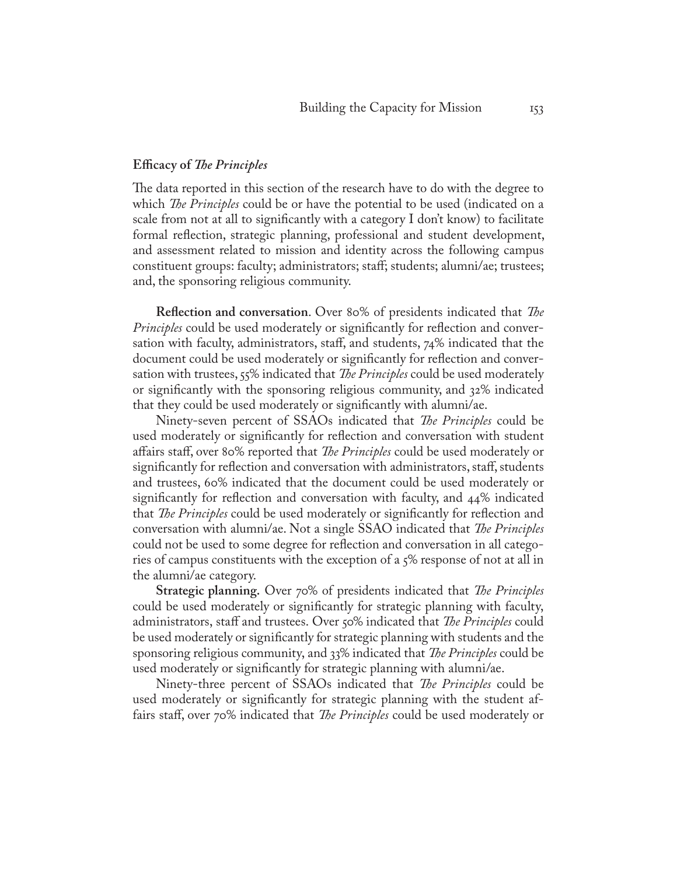#### **Efficacy of** *The Principles*

The data reported in this section of the research have to do with the degree to which *The Principles* could be or have the potential to be used (indicated on a scale from not at all to significantly with a category I don't know) to facilitate formal reflection, strategic planning, professional and student development, and assessment related to mission and identity across the following campus constituent groups: faculty; administrators; staff; students; alumni/ae; trustees; and, the sponsoring religious community.

**Reflection and conversation**. Over 80% of presidents indicated that *The Principles* could be used moderately or significantly for reflection and conversation with faculty, administrators, staff, and students, 74% indicated that the document could be used moderately or significantly for reflection and conversation with trustees, 55% indicated that *The Principles* could be used moderately or significantly with the sponsoring religious community, and 32% indicated that they could be used moderately or significantly with alumni/ae.

Ninety-seven percent of SSAOs indicated that *The Principles* could be used moderately or significantly for reflection and conversation with student affairs staff, over 80% reported that *The Principles* could be used moderately or significantly for reflection and conversation with administrators, staff, students and trustees, 60% indicated that the document could be used moderately or significantly for reflection and conversation with faculty, and 44% indicated that *The Principles* could be used moderately or significantly for reflection and conversation with alumni/ae. Not a single SSAO indicated that *The Principles* could not be used to some degree for reflection and conversation in all categories of campus constituents with the exception of a 5% response of not at all in the alumni/ae category.

**Strategic planning.** Over 70% of presidents indicated that *The Principles* could be used moderately or significantly for strategic planning with faculty, administrators, staff and trustees. Over 50% indicated that *The Principles* could be used moderately or significantly for strategic planning with students and the sponsoring religious community, and 33% indicated that *The Principles* could be used moderately or significantly for strategic planning with alumni/ae.

Ninety-three percent of SSAOs indicated that *The Principles* could be used moderately or significantly for strategic planning with the student affairs staff, over 70% indicated that *The Principles* could be used moderately or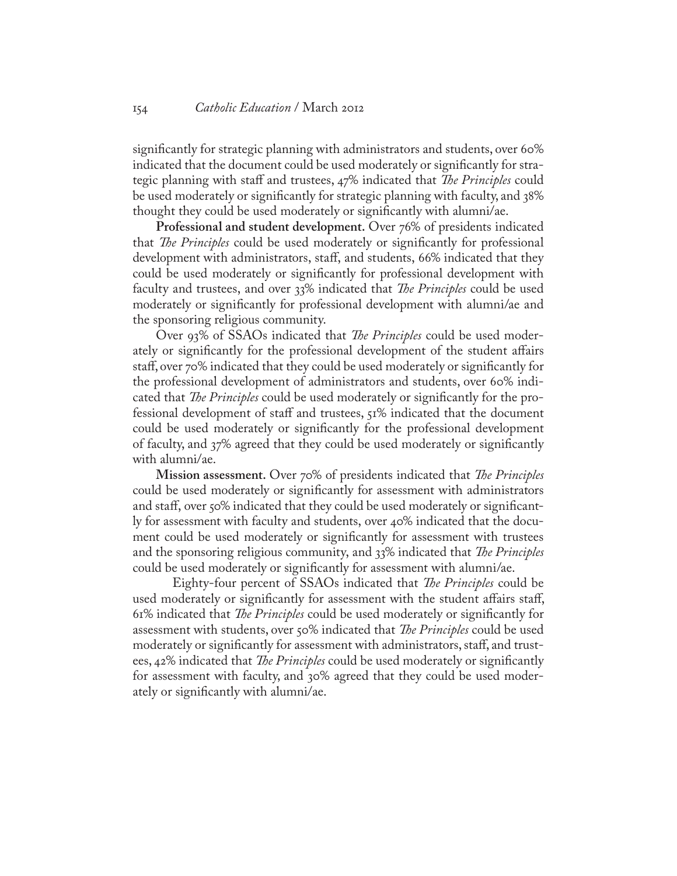significantly for strategic planning with administrators and students, over 60% indicated that the document could be used moderately or significantly for strategic planning with staff and trustees, 47% indicated that *The Principles* could be used moderately or significantly for strategic planning with faculty, and 38% thought they could be used moderately or significantly with alumni/ae.

**Professional and student development.** Over 76% of presidents indicated that *The Principles* could be used moderately or significantly for professional development with administrators, staff, and students, 66% indicated that they could be used moderately or significantly for professional development with faculty and trustees, and over 33% indicated that *The Principles* could be used moderately or significantly for professional development with alumni/ae and the sponsoring religious community.

Over 93% of SSAOs indicated that *The Principles* could be used moderately or significantly for the professional development of the student affairs staff, over 70% indicated that they could be used moderately or significantly for the professional development of administrators and students, over 60% indicated that *The Principles* could be used moderately or significantly for the professional development of staff and trustees, 51% indicated that the document could be used moderately or significantly for the professional development of faculty, and 37% agreed that they could be used moderately or significantly with alumni/ae.

**Mission assessment.** Over 70% of presidents indicated that *The Principles* could be used moderately or significantly for assessment with administrators and staff, over 50% indicated that they could be used moderately or significantly for assessment with faculty and students, over 40% indicated that the document could be used moderately or significantly for assessment with trustees and the sponsoring religious community, and 33% indicated that *The Principles* could be used moderately or significantly for assessment with alumni/ae.

Eighty-four percent of SSAOs indicated that *The Principles* could be used moderately or significantly for assessment with the student affairs staff, 61% indicated that *The Principles* could be used moderately or significantly for assessment with students, over 50% indicated that *The Principles* could be used moderately or significantly for assessment with administrators, staff, and trustees, 42% indicated that *The Principles* could be used moderately or significantly for assessment with faculty, and 30% agreed that they could be used moderately or significantly with alumni/ae.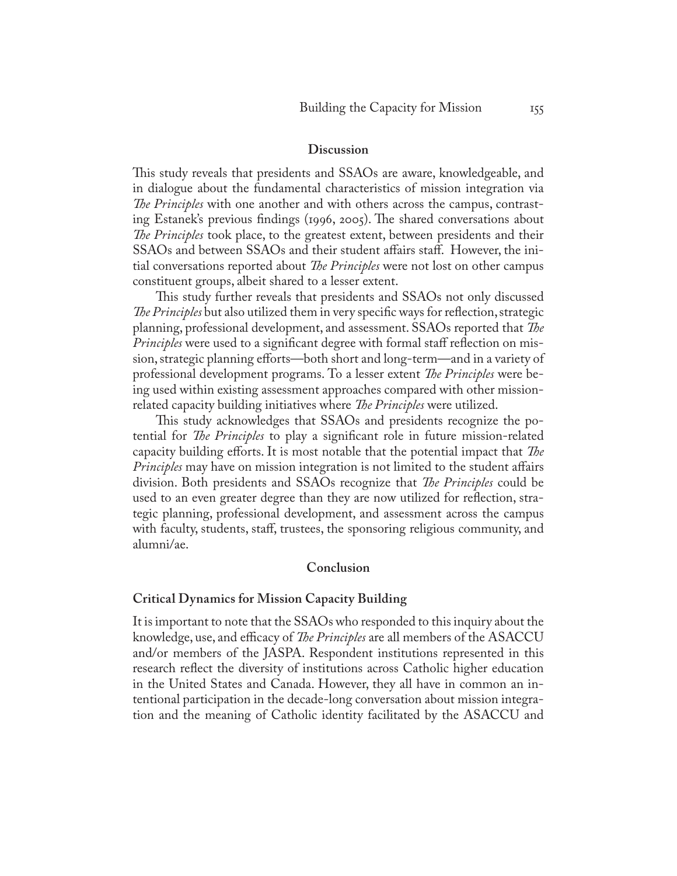#### **Discussion**

This study reveals that presidents and SSAOs are aware, knowledgeable, and in dialogue about the fundamental characteristics of mission integration via *The Principles* with one another and with others across the campus, contrasting Estanek's previous findings (1996, 2005). The shared conversations about *The Principles* took place, to the greatest extent, between presidents and their SSAOs and between SSAOs and their student affairs staff. However, the initial conversations reported about *The Principles* were not lost on other campus constituent groups, albeit shared to a lesser extent.

This study further reveals that presidents and SSAOs not only discussed *The Principles* but also utilized them in very specific ways for reflection, strategic planning, professional development, and assessment. SSAOs reported that *The Principles* were used to a significant degree with formal staff reflection on mission, strategic planning efforts—both short and long-term—and in a variety of professional development programs. To a lesser extent *The Principles* were being used within existing assessment approaches compared with other missionrelated capacity building initiatives where *The Principles* were utilized.

This study acknowledges that SSAOs and presidents recognize the potential for *The Principles* to play a significant role in future mission-related capacity building efforts. It is most notable that the potential impact that *The Principles* may have on mission integration is not limited to the student affairs division. Both presidents and SSAOs recognize that *The Principles* could be used to an even greater degree than they are now utilized for reflection, strategic planning, professional development, and assessment across the campus with faculty, students, staff, trustees, the sponsoring religious community, and alumni/ae.

#### **Conclusion**

#### **Critical Dynamics for Mission Capacity Building**

It is important to note that the SSAOs who responded to this inquiry about the knowledge, use, and efficacy of *The Principles* are all members of the ASACCU and/or members of the JASPA. Respondent institutions represented in this research reflect the diversity of institutions across Catholic higher education in the United States and Canada. However, they all have in common an intentional participation in the decade-long conversation about mission integration and the meaning of Catholic identity facilitated by the ASACCU and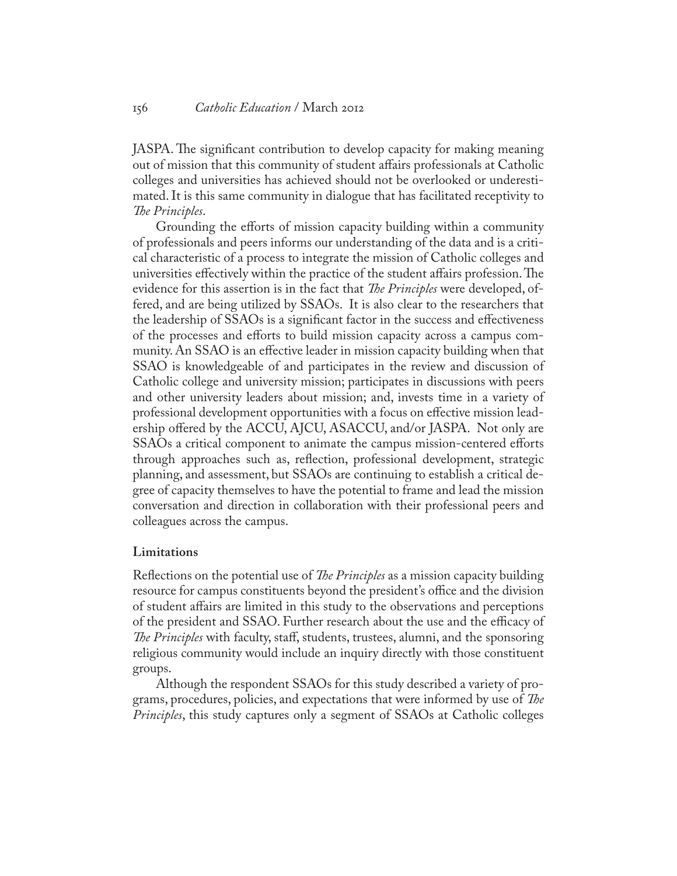JASPA. The significant contribution to develop capacity for making meaning out of mission that this community of student affairs professionals at Catholic colleges and universities has achieved should not be overlooked or underestimated. It is this same community in dialogue that has facilitated receptivity to *The Principles*.

Grounding the efforts of mission capacity building within a community of professionals and peers informs our understanding of the data and is a critical characteristic of a process to integrate the mission of Catholic colleges and universities effectively within the practice of the student affairs profession. The evidence for this assertion is in the fact that *The Principles* were developed, offered, and are being utilized by SSAOs. It is also clear to the researchers that the leadership of SSAOs is a significant factor in the success and effectiveness of the processes and efforts to build mission capacity across a campus community. An SSAO is an effective leader in mission capacity building when that SSAO is knowledgeable of and participates in the review and discussion of Catholic college and university mission; participates in discussions with peers and other university leaders about mission; and, invests time in a variety of professional development opportunities with a focus on effective mission leadership offered by the ACCU, AJCU, ASACCU, and/or JASPA. Not only are SSAOs a critical component to animate the campus mission-centered efforts through approaches such as, reflection, professional development, strategic planning, and assessment, but SSAOs are continuing to establish a critical degree of capacity themselves to have the potential to frame and lead the mission conversation and direction in collaboration with their professional peers and colleagues across the campus.

#### **Limitations**

Reflections on the potential use of *The Principles* as a mission capacity building resource for campus constituents beyond the president's office and the division of student affairs are limited in this study to the observations and perceptions of the president and SSAO. Further research about the use and the efficacy of *The Principles* with faculty, staff, students, trustees, alumni, and the sponsoring religious community would include an inquiry directly with those constituent groups.

Although the respondent SSAOs for this study described a variety of programs, procedures, policies, and expectations that were informed by use of *The Principles*, this study captures only a segment of SSAOs at Catholic colleges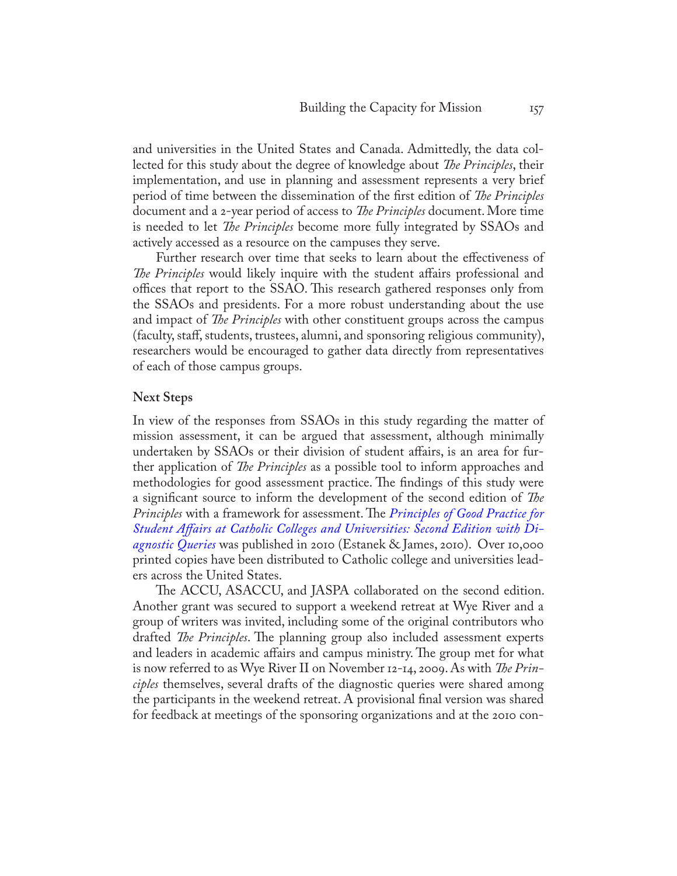and universities in the United States and Canada. Admittedly, the data collected for this study about the degree of knowledge about *The Principles*, their implementation, and use in planning and assessment represents a very brief period of time between the dissemination of the first edition of *The Principles* document and a 2-year period of access to *The Principles* document. More time is needed to let *The Principles* become more fully integrated by SSAOs and actively accessed as a resource on the campuses they serve.

Further research over time that seeks to learn about the effectiveness of *The Principles* would likely inquire with the student affairs professional and offices that report to the SSAO. This research gathered responses only from the SSAOs and presidents. For a more robust understanding about the use and impact of *The Principles* with other constituent groups across the campus (faculty, staff, students, trustees, alumni, and sponsoring religious community), researchers would be encouraged to gather data directly from representatives of each of those campus groups.

#### **Next Steps**

In view of the responses from SSAOs in this study regarding the matter of mission assessment, it can be argued that assessment, although minimally undertaken by SSAOs or their division of student affairs, is an area for further application of *The Principles* as a possible tool to inform approaches and methodologies for good assessment practice. The findings of this study were a significant source to inform the development of the second edition of *The Principles* with a framework for assessment. The *[Principles of Good Practice for](http://www.bc.edu/content/bc/schools/lsoe/cce/highered/research/jcr%3acontent/content/download/file.res/Principles%20of%20Good%20Practice%20in%20Student%20Affairs%20at%20Catholic%20Colleges%20and%20Universities.pdf) [Student Affairs at Catholic Colleges and Universities: Second Edition with Di](http://www.bc.edu/content/bc/schools/lsoe/cce/highered/research/jcr%3acontent/content/download/file.res/Principles%20of%20Good%20Practice%20in%20Student%20Affairs%20at%20Catholic%20Colleges%20and%20Universities.pdf)[agnostic Queries](http://www.bc.edu/content/bc/schools/lsoe/cce/highered/research/jcr%3acontent/content/download/file.res/Principles%20of%20Good%20Practice%20in%20Student%20Affairs%20at%20Catholic%20Colleges%20and%20Universities.pdf)* was published in 2010 (Estanek & James, 2010). Over 10,000 printed copies have been distributed to Catholic college and universities leaders across the United States.

The ACCU, ASACCU, and JASPA collaborated on the second edition. Another grant was secured to support a weekend retreat at Wye River and a group of writers was invited, including some of the original contributors who drafted *The Principles*. The planning group also included assessment experts and leaders in academic affairs and campus ministry. The group met for what is now referred to as Wye River II on November 12-14, 2009. As with *The Principles* themselves, several drafts of the diagnostic queries were shared among the participants in the weekend retreat. A provisional final version was shared for feedback at meetings of the sponsoring organizations and at the 2010 con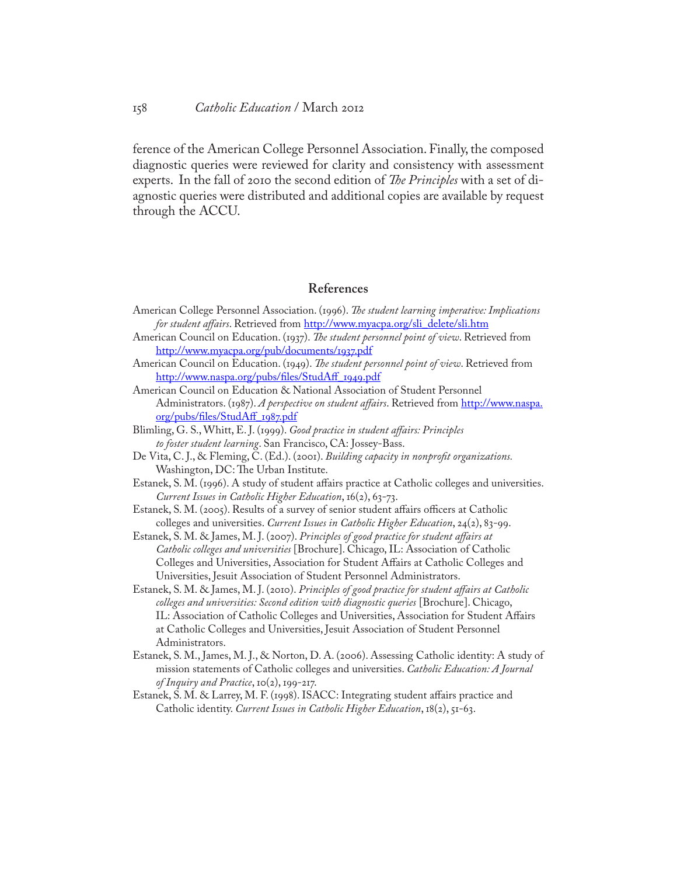ference of the American College Personnel Association. Finally, the composed diagnostic queries were reviewed for clarity and consistency with assessment experts. In the fall of 2010 the second edition of *The Principles* with a set of diagnostic queries were distributed and additional copies are available by request through the ACCU.

# **References**

- American College Personnel Association. (1996). *The student learning imperative: Implications for student affairs*. Retrieved from [http://www.myacpa.org/sli\\_delete/sli.htm](http://www.myacpa.org/sli_delete/sli.htm)
- American Council on Education. (1937). *The student personnel point of view*. Retrieved from <http://www.myacpa.org/pub/documents/1937.pdf>
- American Council on Education. (1949). *The student personnel point of view*. Retrieved from [http://www.naspa.org/pubs/files/StudAff\\_1949.pdf](http://www.naspa.org/pubs/files/StudAff_1949.pdf)
- American Council on Education & National Association of Student Personnel Administrators. (1987). *A perspective on student affairs*. Retrieved from [http://www.naspa.](http://www.naspa.org/pubs/files/StudAff_1987.pdf) [org/pubs/files/StudAff\\_1987.pdf](http://www.naspa.org/pubs/files/StudAff_1987.pdf)
- Blimling, G. S., Whitt, E. J. (1999). *Good practice in student affairs: Principles to foster student learning*. San Francisco, CA: Jossey-Bass.
- De Vita, C. J., & Fleming, C. (Ed.). (2001). *Building capacity in nonprofit organizations.* Washington, DC: The Urban Institute.
- Estanek, S. M. (1996). A study of student affairs practice at Catholic colleges and universities. *Current Issues in Catholic Higher Education*, 16(2), 63-73.
- Estanek, S. M. (2005). Results of a survey of senior student affairs officers at Catholic colleges and universities. *Current Issues in Catholic Higher Education*, 24(2), 83-99.
- Estanek, S. M. & James, M. J. (2007). *Principles of good practice for student affairs at Catholic colleges and universities* [Brochure]. Chicago, IL: Association of Catholic Colleges and Universities, Association for Student Affairs at Catholic Colleges and Universities, Jesuit Association of Student Personnel Administrators.
- Estanek, S. M. & James, M. J. (2010). *Principles of good practice for student affairs at Catholic colleges and universities: Second edition with diagnostic queries* [Brochure]. Chicago, IL: Association of Catholic Colleges and Universities, Association for Student Affairs at Catholic Colleges and Universities, Jesuit Association of Student Personnel Administrators.
- Estanek, S. M., James, M. J., & Norton, D. A. (2006). Assessing Catholic identity: A study of mission statements of Catholic colleges and universities. *Catholic Education: A Journal of Inquiry and Practice*, 10(2), 199-217.
- Estanek, S. M. & Larrey, M. F. (1998). ISACC: Integrating student affairs practice and Catholic identity. *Current Issues in Catholic Higher Education*, 18(2), 51-63.